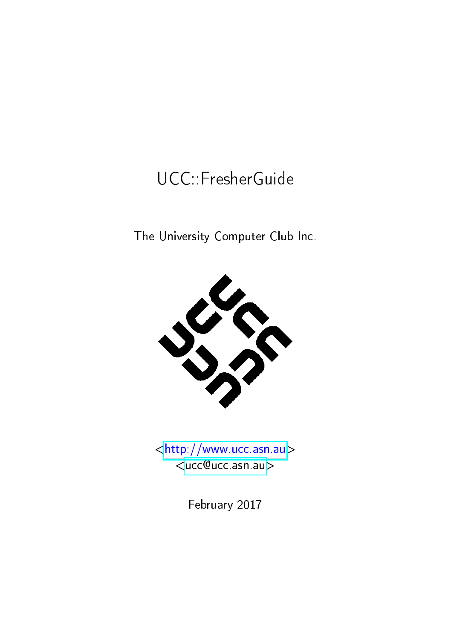## UCC::FresherGuide

The University Computer Club Inc.





February 2017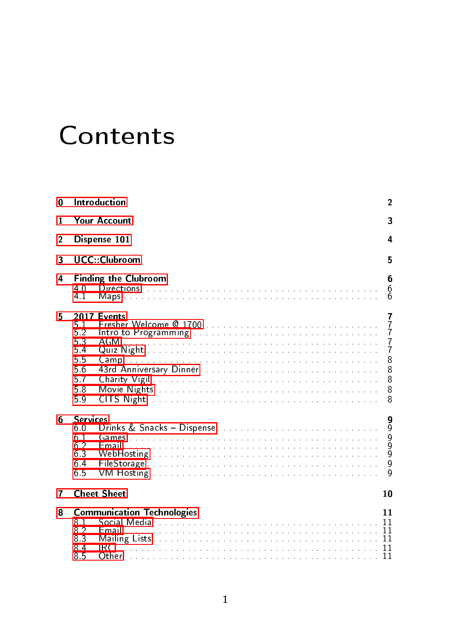# **Contents**

| 0              |                                                         | Introduction                                                                                                                                                                                                                                                                                                                                                                                                                                                                                                                                                                                           | $\mathbf{2}$                                                              |  |  |  |
|----------------|---------------------------------------------------------|--------------------------------------------------------------------------------------------------------------------------------------------------------------------------------------------------------------------------------------------------------------------------------------------------------------------------------------------------------------------------------------------------------------------------------------------------------------------------------------------------------------------------------------------------------------------------------------------------------|---------------------------------------------------------------------------|--|--|--|
| 1              | Your Account<br>3                                       |                                                                                                                                                                                                                                                                                                                                                                                                                                                                                                                                                                                                        |                                                                           |  |  |  |
| $\overline{2}$ |                                                         | Dispense 101<br>4                                                                                                                                                                                                                                                                                                                                                                                                                                                                                                                                                                                      |                                                                           |  |  |  |
| 3              | <b>UCC</b> Clubroom<br>5                                |                                                                                                                                                                                                                                                                                                                                                                                                                                                                                                                                                                                                        |                                                                           |  |  |  |
| 4              | 40<br>41                                                | <b>Finding the Clubroom</b><br>6<br>6<br>6                                                                                                                                                                                                                                                                                                                                                                                                                                                                                                                                                             |                                                                           |  |  |  |
| 5              | 5.1<br>5.2<br>53<br>5.4<br>55<br>56<br>57<br>5.8<br>59  | 2017 Events<br>Intro to Programming and account of the contract of the contract of the contract of the contract of the contract of the contract of the contract of the contract of the contract of the contract of the contract of the contra<br>AGM<br>المتمالية والمتمالية والمتمالية والمتمالية والمتمالية والمتمالية والمتمالية والمتمالية والمتمالية والمتمالية<br>CITS Night the community of the community of the state of the community of the community of the community of the community of the community of the community of the community of the community of the community of the communi | 7<br>$\frac{7}{7}$<br>$\frac{7}{7}$<br>8<br>$\overline{8}$<br>8<br>8<br>8 |  |  |  |
| 6              | <b>Services</b><br>60<br>6.1<br>62<br>6.3<br>6.4<br>6.5 |                                                                                                                                                                                                                                                                                                                                                                                                                                                                                                                                                                                                        | 9<br>9<br>$\begin{array}{c} 9 \\ 9 \end{array}$<br>9<br>q                 |  |  |  |
| 7              | <b>Cheet Sheet</b><br>10                                |                                                                                                                                                                                                                                                                                                                                                                                                                                                                                                                                                                                                        |                                                                           |  |  |  |
| 8              | 81<br>82<br>8.3<br>8.4<br>8.5                           | <b>Communication Technologies</b><br>IRC.<br>. The companion of the companion of the companion of the companion of $\mathbf{11}$<br>()ther                                                                                                                                                                                                                                                                                                                                                                                                                                                             | 11                                                                        |  |  |  |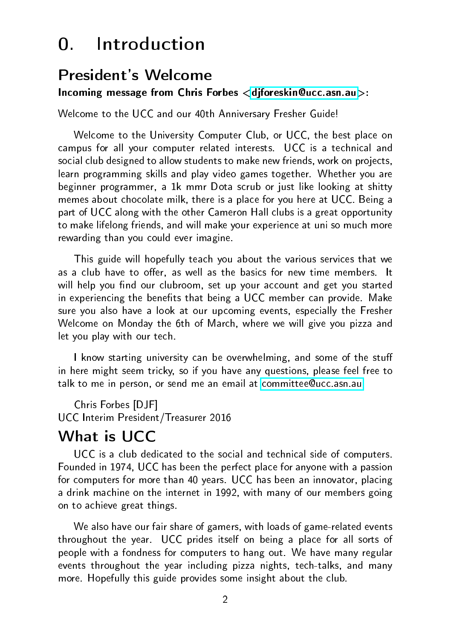## 0. Introduction

#### <span id="page-2-0"></span>President's Welcome

Incoming message from Chris Forbes [<djforeskin@ucc.asn.au>](mailto:djforeskin@ucc.asn.au):

Welcome to the UCC and our 40th Anniversary Fresher Guide!

Welcome to the University Computer Club, or UCC, the best place on campus for all your computer related interests. UCC is a technical and social club designed to allow students to make new friends, work on projects, learn programming skills and play video games together. Whether you are beginner programmer, a 1k mmr Dota scrub or just like looking at shitty memes about chocolate milk, there is a place for you here at UCC. Being a part of UCC along with the other Cameron Hall clubs is a great opportunity to make lifelong friends, and will make your experience at uni so much more rewarding than you could ever imagine.

This guide will hopefully teach you about the various services that we as a club have to offer, as well as the basics for new time members. It will help you find our clubroom, set up your account and get you started in experiencing the benefits that being a UCC member can provide. Make sure you also have a look at our upcoming events, especially the Fresher Welcome on Monday the 6th of March, where we will give you pizza and let you play with our tech.

I know starting university can be overwhelming, and some of the stuff in here might seem tricky, so if you have any questions, please feel free to talk to me in person, or send me an email at [committee@ucc.asn.au](mailto:committee@ucc.asn.au)

Chris Forbes [DJF] UCC Interim President/Treasurer 2016

### What is UCC

UCC is a club dedicated to the social and technical side of computers. Founded in 1974, UCC has been the perfect place for anyone with a passion for computers for more than 40 years. UCC has been an innovator, placing a drink machine on the internet in 1992, with many of our members going on to achieve great things.

We also have our fair share of gamers, with loads of game-related events throughout the year. UCC prides itself on being a place for all sorts of people with a fondness for computers to hang out. We have many regular events throughout the year including pizza nights, tech-talks, and many more. Hopefully this guide provides some insight about the club.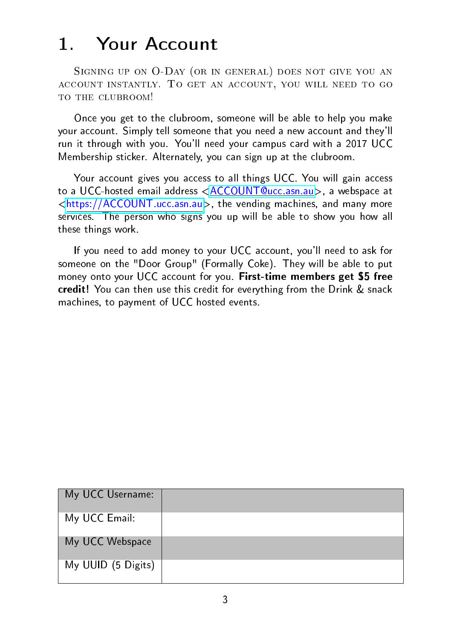## 1. Your Account

<span id="page-3-0"></span>SIGNING UP ON O-DAY (OR IN GENERAL) DOES NOT GIVE YOU AN account instantly. To get an account, you will need to go TO THE CLUBROOM!

Once you get to the clubroom, someone will be able to help you make your account. Simply tell someone that you need a new account and they'll run it through with you. You'll need your campus card with a 2017 UCC Membership sticker. Alternately, you can sign up at the clubroom.

Your account gives you access to all things UCC. You will gain access to a UCC-hosted email address [<ACCOUNT@ucc.asn.au>](ACCOUNT@ucc.asn.au), a webspace at [<https://ACCOUNT.ucc.asn.au>](https://ACCOUNT.ucc.asn.au), the vending machines, and many more services. The person who signs you up will be able to show you how all these things work.

If you need to add money to your UCC account, you'll need to ask for someone on the "Door Group" (Formally Coke). They will be able to put money onto your UCC account for you. First-time members get \$5 free credit! You can then use this credit for everything from the Drink & snack machines, to payment of UCC hosted events.

| My UCC Username:   |  |
|--------------------|--|
| My UCC Email:      |  |
| My UCC Webspace    |  |
| My UUID (5 Digits) |  |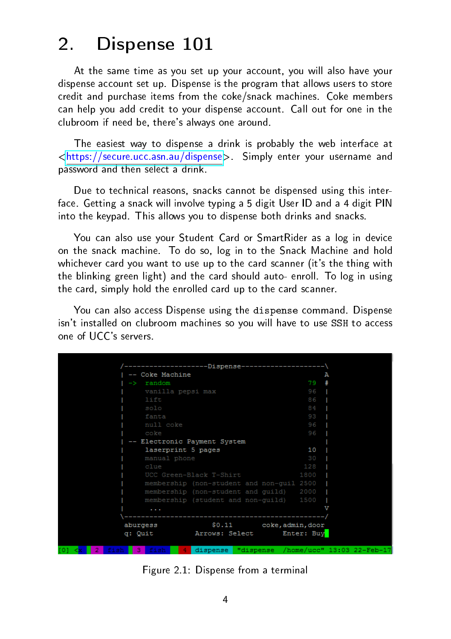## 2. Dispense 101

<span id="page-4-0"></span>At the same time as you set up your account, you will also have your dispense account set up. Dispense is the program that allows users to store credit and purchase items from the coke/snack machines. Coke members can help you add credit to your dispense account. Call out for one in the clubroom if need be, there's always one around.

The easiest way to dispense a drink is probably the web interface at [<https://secure.ucc.asn.au/dispense>](https://secure.ucc.asn.au/dispense). Simply enter your username and password and then select a drink.

Due to technical reasons, snacks cannot be dispensed using this interface. Getting a snack will involve typing a 5 digit User ID and a 4 digit PIN into the keypad. This allows you to dispense both drinks and snacks.

You can also use your Student Card or SmartRider as a log in device on the snack machine. To do so, log in to the Snack Machine and hold whichever card you want to use up to the card scanner (it's the thing with the blinking green light) and the card should auto- enroll. To log in using the card, simply hold the enrolled card up to the card scanner.

You can also access Dispense using the dispense command. Dispense isn't installed on clubroom machines so you will have to use SSH to access one of UCC's servers.

|                       |                     | ---------------Dispense---------------------\ |      |                                               |
|-----------------------|---------------------|-----------------------------------------------|------|-----------------------------------------------|
|                       | -- Coke Machine     |                                               |      | А                                             |
| $\rightarrow$         | random              |                                               | 79   |                                               |
|                       | vanilla pepsi max   |                                               | 96   |                                               |
|                       | lift                |                                               | 86   |                                               |
|                       | solo                |                                               | 84   |                                               |
|                       | fanta               |                                               | 93   |                                               |
|                       | null coke           |                                               | 96   |                                               |
|                       | coke                |                                               | 96   |                                               |
|                       |                     | -- Electronic Payment System                  |      |                                               |
|                       | laserprint 5 pages  |                                               | 10   |                                               |
|                       | manual phone        |                                               | 30   |                                               |
|                       | clue                |                                               | 128  |                                               |
|                       |                     | UCC Green-Black T-Shirt                       | 1800 |                                               |
|                       |                     | membership (non-student and non-quil 2500     |      |                                               |
|                       |                     | membership (non-student and quild)            | 2000 |                                               |
|                       |                     | membership (student and non-guild) 1500       |      |                                               |
|                       |                     |                                               |      |                                               |
|                       |                     | -------------------------------------         |      |                                               |
|                       | aburgess            | \$0.11 coke, admin, door                      |      |                                               |
|                       | q: Quit             | Arrows: Select Enter: Buy                     |      |                                               |
|                       |                     |                                               |      |                                               |
| - 21<br><b>CALLES</b> | 2.164<br><b>A 1</b> |                                               |      | dienanea "dienanea /homa/ucc" 13:03 22_Fah_17 |

Figure 2.1: Dispense from a terminal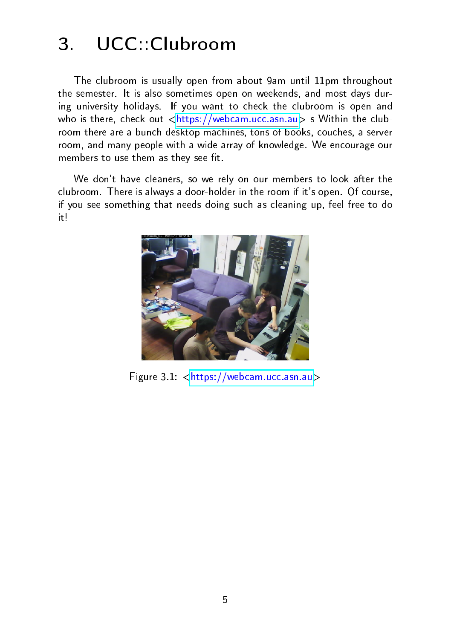## 3. UCC::Clubroom

<span id="page-5-0"></span>The clubroom is usually open from about 9am until 11pm throughout the semester. It is also sometimes open on weekends, and most days during university holidays. If you want to check the clubroom is open and who is there, check out  $\langle$ https://webcam.ucc.asn.au> s Within the clubroom there are a bunch desktop machines, tons of books, couches, a server room, and many people with a wide array of knowledge. We encourage our members to use them as they see fit.

We don't have cleaners, so we rely on our members to look after the clubroom. There is always a door-holder in the room if it's open. Of course, if you see something that needs doing such as cleaning up, feel free to do it!



Figure 3.1: [<https://webcam.ucc.asn.au>](https://webcam.ucc.asn.au)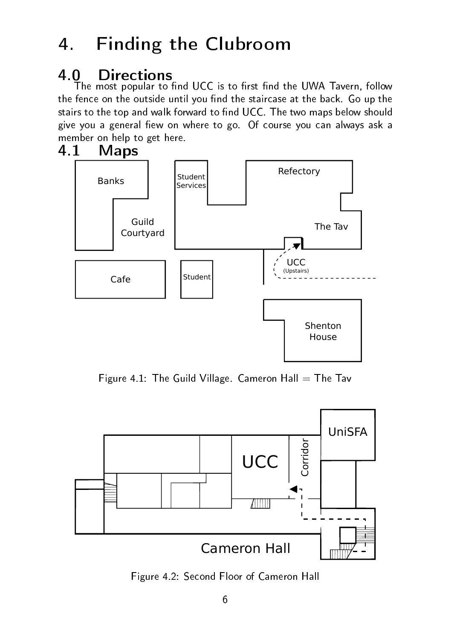## 4. Finding the Clubroom

## <span id="page-6-1"></span><span id="page-6-0"></span>4.0 Directions

The most popular to find UCC is to first find the UWA Tavern, follow the fence on the outside until you find the staircase at the back. Go up the stairs to the top and walk forward to find UCC. The two maps below should give you a general fiew on where to go. Of course you can always ask a member on help to get here.<br>4.1 **Maps** 

## <span id="page-6-2"></span>**Maps**



Figure 4.1: The Guild Village. Cameron Hall  $=$  The Tav



Figure 4.2: Second Floor of Cameron Hall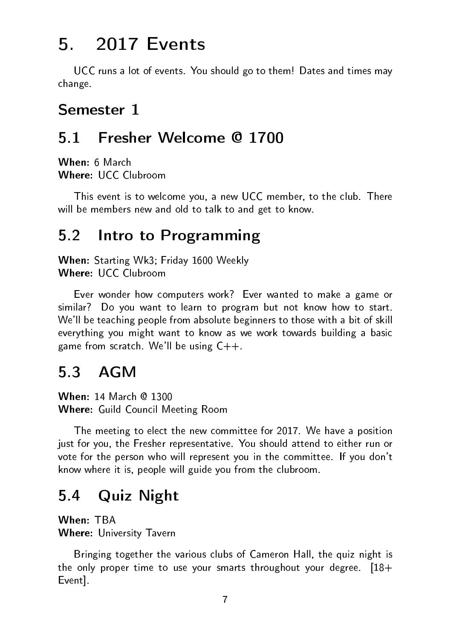## 5. 2017 Events

<span id="page-7-0"></span>UCC runs a lot of events. You should go to them! Dates and times may change.

### Semester 1

## <span id="page-7-1"></span>5.1 Fresher Welcome @ 1700

When: 6 March Where: UCC Clubroom

This event is to welcome you, a new UCC member, to the club. There will be members new and old to talk to and get to know.

## <span id="page-7-2"></span>5.2 Intro to Programming

When: Starting Wk3; Friday 1600 Weekly Where: UCC Clubroom

Ever wonder how computers work? Ever wanted to make a game or similar? Do you want to learn to program but not know how to start. We'll be teaching people from absolute beginners to those with a bit of skill everything you might want to know as we work towards building a basic game from scratch. We'll be using  $C++$ .

### <span id="page-7-3"></span>5.3 AGM

When: 14 March @ 1300 Where: Guild Council Meeting Room

The meeting to elect the new committee for 2017. We have a position just for you, the Fresher representative. You should attend to either run or vote for the person who will represent you in the committee. If you don't know where it is, people will guide you from the clubroom.

## <span id="page-7-4"></span>5.4 Quiz Night

When: TBA Where: University Tavern

Bringing together the various clubs of Cameron Hall, the quiz night is the only proper time to use your smarts throughout your degree.  $[18+$ Event].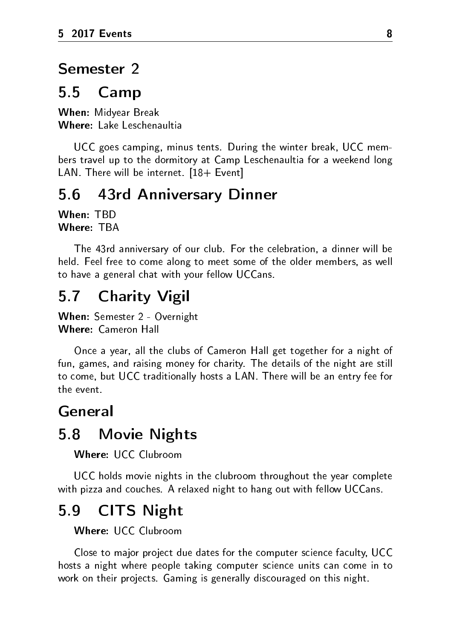#### Semester 2

#### <span id="page-8-0"></span>5.5 Camp

When: Midyear Break Where: Lake Leschenaultia

UCC goes camping, minus tents. During the winter break, UCC members travel up to the dormitory at Camp Leschenaultia for a weekend long LAN. There will be internet. [18+ Event]

#### <span id="page-8-1"></span>5.6 43rd Anniversary Dinner

When: TBD Where: TBA

The 43rd anniversary of our club. For the celebration, a dinner will be held. Feel free to come along to meet some of the older members, as well to have a general chat with your fellow UCCans.

#### <span id="page-8-2"></span>5.7 Charity Vigil

When: Semester 2 - Overnight Where: Cameron Hall

Once a year, all the clubs of Cameron Hall get together for a night of fun, games, and raising money for charity. The details of the night are still to come, but UCC traditionally hosts a LAN. There will be an entry fee for the event.

#### General

#### <span id="page-8-3"></span>5.8 Movie Nights

Where: UCC Clubroom

UCC holds movie nights in the clubroom throughout the year complete with pizza and couches. A relaxed night to hang out with fellow UCCans.

### <span id="page-8-4"></span>5.9 CITS Night

Where: UCC Clubroom

Close to major project due dates for the computer science faculty, UCC hosts a night where people taking computer science units can come in to work on their projects. Gaming is generally discouraged on this night.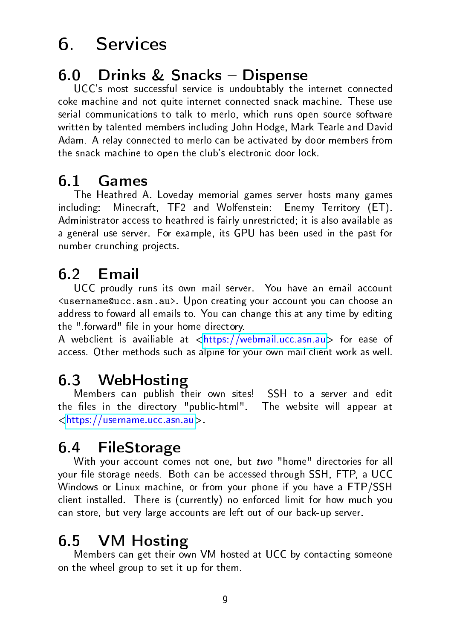## 6. Services

## <span id="page-9-1"></span><span id="page-9-0"></span>6.0 Drinks & Snacks Dispense

UCC's most successful service is undoubtably the internet connected coke machine and not quite internet connected snack machine. These use serial communications to talk to merlo, which runs open source software written by talented members including John Hodge, Mark Tearle and David Adam. A relay connected to merlo can be activated by door members from the snack machine to open the club's electronic door lock.

## <span id="page-9-2"></span>6.1 Games

The Heathred A. Loveday memorial games server hosts many games including: Minecraft, TF2 and Wolfenstein: Enemy Territory (ET). Administrator access to heathred is fairly unrestricted; it is also available as a general use server. For example, its GPU has been used in the past for number crunching projects.

## <span id="page-9-3"></span>6.2 Email

UCC proudly runs its own mail server. You have an email account <username@ucc.asn.au>. Upon creating your account you can choose an address to foward all emails to. You can change this at any time by editing the " forward" file in your home directory.

A webclient is availiable at  $\langle$ https://webmail.ucc.asn.au> for ease of access. Other methods such as alpine for your own mail client work as well.

### <span id="page-9-4"></span>6.3 WebHosting

Members can publish their own sites! SSH to a server and edit the files in the directory "public-html". The website will appear at [<https://username.ucc.asn.au>](https://username.ucc.asn.au).

## <span id="page-9-5"></span>6.4 FileStorage

With your account comes not one, but two "home" directories for all your file storage needs. Both can be accessed through SSH, FTP, a UCC Windows or Linux machine, or from your phone if you have a FTP/SSH client installed. There is (currently) no enforced limit for how much you can store, but very large accounts are left out of our back-up server.

### <span id="page-9-6"></span>6.5 VM Hosting

Members can get their own VM hosted at UCC by contacting someone on the wheel group to set it up for them.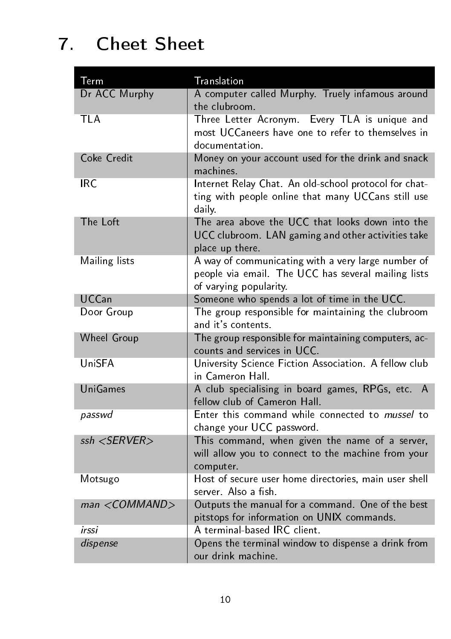## 7. Cheet Sheet

<span id="page-10-0"></span>

| Term               | Translation                                                                                                                         |
|--------------------|-------------------------------------------------------------------------------------------------------------------------------------|
| Dr ACC Murphy      | A computer called Murphy. Truely infamous around<br>the clubroom.                                                                   |
| TI A               | Three Letter Acronym. Every TLA is unique and<br>most UCCaneers have one to refer to themselves in<br>documentation.                |
| Coke Credit        | Money on your account used for the drink and snack<br>machines                                                                      |
| <b>IRC</b>         | Internet Relay Chat. An old-school protocol for chat-<br>ting with people online that many UCCans still use<br>daily.               |
| The Loft           | The area above the UCC that looks down into the<br>UCC clubroom. LAN gaming and other activities take<br>place up there.            |
| Mailing lists      | A way of communicating with a very large number of<br>people via email. The UCC has several mailing lists<br>of varying popularity. |
| <b>UCCan</b>       | Someone who spends a lot of time in the UCC.                                                                                        |
| Door Group         | The group responsible for maintaining the clubroom<br>and it's contents.                                                            |
| Wheel Group        | The group responsible for maintaining computers, ac-<br>counts and services in UCC.                                                 |
| UniSFA             | University Science Fiction Association. A fellow club<br>in Cameron Hall.                                                           |
| UniGames           | A club specialising in board games, RPGs, etc. A<br>fellow club of Cameron Hall.                                                    |
| passwd             | Enter this command while connected to mussel to<br>change your UCC password.                                                        |
| $ssh <$ SERVER $>$ | This command, when given the name of a server,<br>will allow you to connect to the machine from your<br>computer.                   |
| Motsugo            | Host of secure user home directories, main user shell<br>server. Also a fish.                                                       |
| $man <$ COMMAND>   | Outputs the manual for a command. One of the best<br>pitstops for information on UNIX commands.                                     |
| irssi              | A terminal-based IRC client.                                                                                                        |
| dispense           | Opens the terminal window to dispense a drink from<br>our drink machine.                                                            |